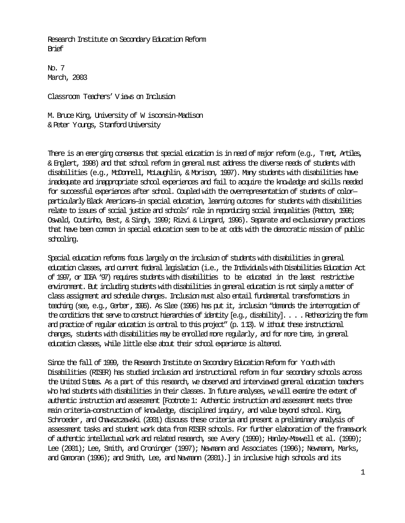Research Institute on Secondary Education Reform Brief

No. 7 March, 2003

Classroom Teachers' Views on Inclusion

M. Bruce King, University of W isconsin-Madison & Peter Youngs, Stanford University

There is an emerging consensus that special education is in need of major reform (e.g., Trent, Artiles, & Englert, 1998) and that school reform in general must address the diverse needs of students with disabilities (e.g., McDonnell, McLaughlin, & Morison, 1997). Many students with disabilities have inadequate and inappropriate school experiences and fail to acquire the knowledge and skills needed for successful experiences after school. Coupled with the overrepresentation of students of colorparticularly Black Americans—in special education, learning outcomes for students with disabilities relate to issues of social justice and schools' role in reporducing social inequalities (Patton, 1998; Oswald, Coutinho, Best, & Singh, 1999; Rizvi & Lingard, 1996). Separate and exclusionary practices that have been common in special education seem to be at odds with the democratic mission of public schooling.

Special education reforms focus largely on the inclusion of students with disabilities in general education classes, and current federal legislation (i.e., the Individuals with Disabilities Education Act of 1997, or IDEA '97) requires students with disabilities to be educated in the least restrictive environment. But including students with disabilities in general education is not simply a matter of class assignment and schedule changes. Inclusion must also entail fundamental transformations in teaching (see, e.g., Gerber,1996). As Slee (1996) has put it, inclusion "demands the interrogation of the conditions that serve to construct hierarchies of identity [e.g., disability]. . . . Retheorizing the form and practice of regular education is central to this project" (p. 113). W ithout these instructional changes, students with disabilities may be enrolled more regularly, and for more time, in general education classes, while little else about their school experience is altered.

Since the fall of 1999, the Research Institute on Secondary Education Reform for Youth with Disabilities (RISER) has studied inclusion and instructional reform in four secondary schools across the United States. As a part of this research, we observed and interviewed general education teachers who had students with disabilities in their classes. In future analyses, we will examine the extent of authentic instruction and assessment [Footnote 1: Authentic instruction and assessment meets three main criteria—construction of knowledge, disciplined inquiry, and value beyond school. King, Schroeder, and Chawszczewski (2001) discuss these criteria and present a preliminary analysis of assessment tasks and student work data from RISER schools. For further elaboration of the framework of authentic intellectual work and related research, see Avery (1999); Hanley-Maxwell et al. (1999); Lee (2001); Lee, Smith, and Croninger (1997); Newmann and Associates (1996); Newmann, Marks, and Gamoran (1996); and Smith, Lee, and Newmann (2001).] in inclusive high schools and its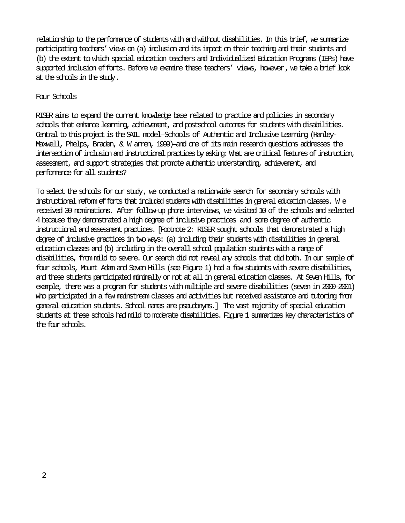relationship to the performance of students with and without disabilities. In this brief, we summarize participating teachers' views on (a) inclusion and its impact on their teaching and their students and (b) the extent to which special education teachers and Individualized Education Programs (IEPs) have supported inclusion efforts. Before we examine these teachers' views, however, we take a brief look at the schools in the study.

## Four Schools

RISER aims to expand the current knowledge base related to practice and policies in secondary schools that enhance learning, achievement, and postschool outcomes for students with disabilities. Central to this project is the SAIL model—Schools of Authentic and Inclusive Learning (Hanley-Maxwell, Phelps, Braden, & W arren, 1999)—and one of its main research questions addresses the intersection of inclusion and instructional practices by asking: What are critical features of instruction, assessment, and support strategies that promote authentic understanding, achievement, and performance for all students?

To select the schools for our study, we conducted a nationwide search for secondary schools with instructional reform efforts that included students with disabilities in general education classes. W e received 30 nominations. After follow-up phone interviews, we visited 10 of the schools and selected 4 because they demonstrated a high degree of inclusive practices and some degree of authentic instructional and assessment practices.[Footnote 2: RISER sought schools that demonstrated a high degree of inclusive practices in two ways: (a) including their students with disabilities in general education classes and (b) including in the overall school population students with a range of disabilities, from mild to severe. Our search did not reveal any schools that did both. In our sample of four schools, Mount Adam and Seven Hills (see Figure 1) had a few students with severe disabilities, and these students participated minimally or not at all in general education classes. At Seven Hills, for example, there was a program for students with multiple and severe disabilities (seven in 2000–2001) who participated in a few mainstream classes and activities but received assistance and tutoring from general education students. School names are pseudonyms.] The vast majority of special education students at these schools had mild to moderate disabilities. Figure 1 summarizes key characteristics of the four schmils.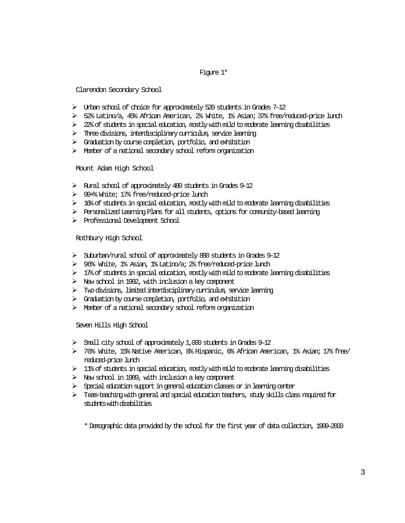#### Figure 1\*

Clarendon Secondary School

- $\triangleright$  Urban school of choice for approximately 520 students in Grades 7–12
- ¾ 52% Latino/a, 45% African American, 2% White, 1% Asian; 37% free/reduced-price lunch
- $\triangleright$  22% of students in special education, mostly with mild to moderate learning disabilities
- $\triangleright$  Three divisions, interdisciplinary curriculum, service learning
- $\triangleright$  Graduation by course completion, portfolio, and exhibition
- $\triangleright$  Member of a national secondary school reform organization

Mount Adam High School

- $\triangleright$  Rural school of approximately 480 students in Grades 9–12
- ¾ 99+% White; 17% free/reduced-price lunch
- $\triangleright$  16% of students in special education, mostly with mild to moderate learning disabilities
- ¾ Personalized Learning Plans for all students, options for community-based learning
- ¾ Professional Development School

Rothbury High School

- ¾ Suburban/rural school of approximately 880 students in Grades 9–12
- ¾ 98% White, 1% Asian, 1% Latino/a; 2% free/reduced-price lunch
- $\triangleright$  17% of students in special education, mostly with mild to moderate learning disabilities
- $\triangleright$  New school in 1992, with inclusion a key component
- $\triangleright$  Two divisions, limited interdisciplinary curriculum, service learning
- $\triangleright$  Graduation by course completion, portfolio, and exhibition
- ¾ Member of a national secondary school reform organization

Seven Hills High School

- ¾ Small city school of approximately 1,000 students in Grades 9–12
- ¾ 70% White, 15% Native American, 8% Hispanic, 6% African American, 1% Asian; 17% free/ reduced-price lunch
- $\geq 11$ % of students in special education, mostly with mild to moderate learning disabilities
- $\triangleright$  New school in 1989, with inclusion a key component
- $\triangleright$  Special education support in general education classes or in learning center
- $\triangleright$  Team-teaching with general and special education teachers, study skills class required for students with disabilities

\* Demographic data provided by the school for the first year of data collection, 1999–2000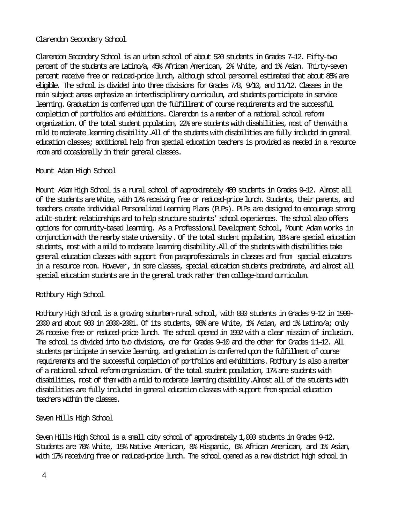## Clarendon Secondary School

Clarendon Secondary School is an urban school of about 520 students in Grades 7–12. Fifty-two percent of the students are Latino/a, 45% African American, 2% White, and 1% Asian. Thirty-seven percent receive free or reduced-price lunch, although school personnel estimated that about 85% are eligible. The school is divided into three divisions for Grades 7/8, 9/10, and 11/12. Classes in the main subject areas emphasize an interdisciplinary curriculum, and students participate in service learning. Graduation is conferred upon the fulfillment of course requirements and the successful completion of portfolios and exhibitions. Clarendon is a member of a national school reform organization. Of the total student population, 22% are students with disabilities, most of them with a mild to moderate learning disability. All of the students with disabilities are fully included in general education classes; additional help from special education teachers is provided as needed in a resource room and occasionally in their general classes.

## Mount Adam High School

Mount Adam High School is a rural school of approximately 480 students in Grades 9–12. Almost all of the students are White, with 17% receiving free or reduced-price lunch. Students, their parents, and teachers create individual Personalized Learning Plans (PLPs). PLPs are designed to encourage strong adult-student relationships and to help structure students' school experiences. The school also offers options for community-based learning. As a Professional Development School, Mount Adam works in conjunction with the nearby state university. Of the total student population, 16% are special education students, most with a mild to moderate learning disability. All of the students with disabilities take general education classes with support from paraprofessionals in classes and from special educators in a resource room. However, in some classes, special education students predominate, and almost all special education students are in the general track rather than college-bound curriculum.

### Rothbury High School

Rothbury High School is a growing suburban-rural school, with 880 students in Grades 9–12 in 1999- 2000 and about 980 in 2000-2001. Of its students, 98% are White, 1% Asian, and 1% Latino/a; only 2% receive free or reduced-price lunch. The school opened in 1992 with a clear mission of inclusion. The school is divided into two divisions, one for Grades 9–10 and the other for Grades 11–12. All students participate in service learning, and graduation is conferred upon the fulfillment of course requirements and the successful completion of portfolios and exhibitions. Rothbury is also a member of a national school reform organization. Of the total student population, 17% are students with disabilities, most of them with a mild to moderate learning disability. Almost all of the students with disabilities are fully included in general education classes with support from special education teachers within the classes.

### Seven Hills High School

Seven Hills High School is a small city school of approximately 1,000 students in Grades 9–12. Students are 70% White, 15% Native American, 8% Hispanic, 6% African American, and 1% Asian, with 17% receiving free or reduced-price lunch. The school opened as a new district high school in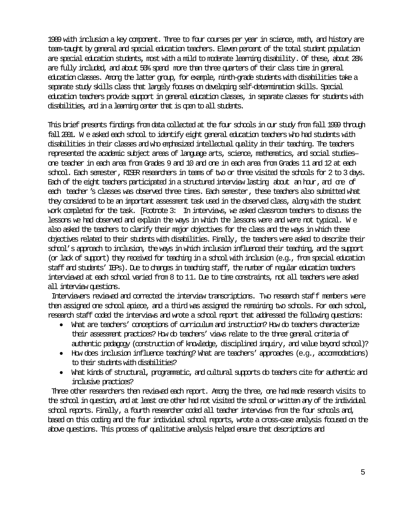1989 with inclusion a key component. Three to four courses per year in science, math, and history are team-taught by general and special education teachers. Eleven percent of the total student population are special education students, most with a mild to moderate learning disability. Of these, about 28% are fully included, and about 50% spend more than three quarters of their class time in general education classes. Among the latter group, for example, ninth-grade students with disabilities take a separate study skills class that largely focuses on developing self-determination skills. Special education teachers provide support in general education classes, in separate classes for students with disabilities, and in a learning center that is open to all students.

This brief presents findings from data collected at the four schools in our study from fall 1999 through fall2001. W e asked each school to identify eight general education teachers who had students with disabilities in their classes and who emphasized intellectual quality in their teaching. The teachers represented the academic subject areas of language arts, science, mathematics, and social studies one teacher in each area from Grades 9 and 10 and one in each area from Grades 11 and 12 at each school. Each semester, RISER researchers in teams of two or three visited the schools for 2 to 3 days. Each of the eight teachers participated in a structured interview lasting about an hour, and one of each teacher's classes was observed three times. Each semester, these teachers also submitted what they considered to be an important assessment task used in the observed class, along with the student work completed for the task. [Footnote 3: In interviews, we asked classroom teachers to discuss the lessons we had observed and explain the ways in which the lessons were and were not typical. W e also asked the teachers to clarify their major objectives for the class and the ways in which these objectives related to their students with disabilities. Finally, the teachers were asked to describe their school's approach to inclusion, the ways in which inclusion influenced their teaching, and the support (or lack of support) they received for teaching in a school with inclusion (e.g., from special education staff and students' IEPs). Due to changes in teaching staff, the number of regular education teachers interviewed at each school varied from 8 to 11. Due to time constraints, not all teachers were asked all interview questions.

Interviewers reviewed and corrected the interview transcriptions. Two research staff members were then assigned one school apiece, and a third was assigned the remaining two schools. For each school, research staff coded the interviews and wrote a school report that addressed the following questions:

- What are teachers' conceptions of curriculum and instruction? How do teachers characterize their assessment practices? How do teachers' views relate to the three general criteria of authentic pedagogy (construction of knowledge, disciplined inquiry, and value beyond school)?
- How does inclusion influence teaching? What are teachers' approaches (e.g., accommodations) to their students with disabilities?
- What kinds of structural, programmatic, and cultural supports do teachers cite for authentic and inclusive practices?

Three other researchers then reviewed each report. Among the three, one had made research visits to the school in question, and at least one other had not visited the school or written any of the individual school reports. Finally, a fourth researcher coded all teacher interviews from the four schools and, based on this coding and the four individual school reports, wrote a cross-case analysis focused on the above questions. This process of qualitative analysis helped ensure that descriptions and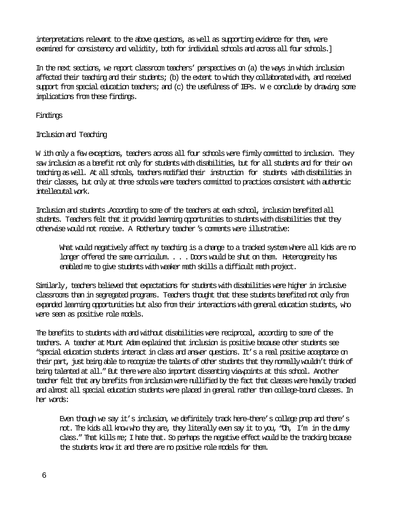interpretations relevant to the above questions, as well as supporting evidence for them, were examined for consistency and validity, both for individual schools and across all four schools.]

In the next sections, we report classroom teachers' perspectives on (a) the ways in which inclusion affected their teaching and their students; (b) the extent to which they collaborated with, and received support from special education teachers; and (c) the usefulness of IEPs. W e conclude by drawing some implications from these findings.

Findings

# Inclusion and Teaching

W ith only a few exceptions, teachers across all four schools were firmly committed to inclusion. They saw inclusion as a benefit not only for students with disabilities, but for all students and for their own teaching as well. At all schools, teachers modified their instruction for students with disabilities in their classes, but only at three schools were teachers committed to practices consistent with authentic intellecutal work.

Inclusion and students.According to some of the teachers at each school, inclusion benefited all students. Teachers felt that it provided learning opportunities to students with disabilities that they otherwise would not receive. A Rotherbury teacher's comments were illustrative:

What would negatively affect my teaching is a change to a tracked system where all kids are no longer offered the same curriculum. . . . Doors would be shut on them. Heterogeneity has enabled me to give students with weaker math skills a difficult math project.

Similarly, teachers believed that expectations for students with disabilities were higher in inclusive classrooms than in segregated programs. Teachers thought that these students benefited not only from expanded learning opportunities but also from their interactions with general education students, who were seen as positive role models.

The benefits to students with and without disabilities were reciprocal, according to some of the teachers. A teacher at Mount Adam explained that inclusion is positive because other students see "special education students interact in class and answer questions. It's a real positive acceptance on their part, just being able to recognize the talents of other students that they normally wouldn't think of being talented at all." But there were also important dissenting viewpoints at this school. Another teacher felt that any benefits from inclusion were nullified by the fact that classes were heavily tracked and almost all special education students were placed in general rather than college-bound classes. In her words:

Even though we say it's inclusion, we definitely track here—there's college prep and there's not. The kids all know who they are, they literally even say it to you, "Oh, I'm in the dummy class." That kills me; I hate that. So perhaps the negative effect would be the tracking because the students know it and there are no positive role models for them.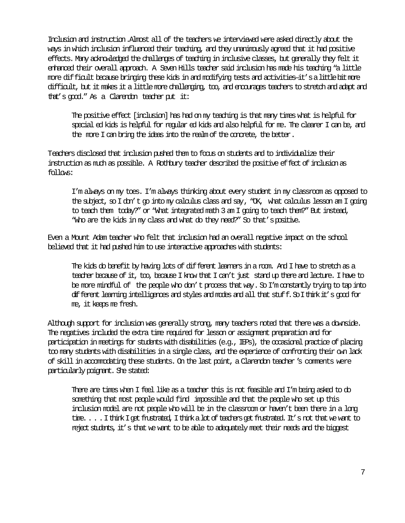Inclusion and instruction.Almost all of the teachers we interviewed were asked directly about the ways in which inclusion influenced their teaching, and they unanimously agreed that it had positive effects. Many acknowledged the challenges of teaching in inclusive classes, but generally they felt it enhanced their overall approach. A Seven Hills teacher said inclusion has made his teaching "a little more difficult because bringing these kids in and modifying tests and activities—it'salittlebitmore difficult, but it makes it a little more challenging, too, and encourages teachers to stretch and adapt and that's good." As a Clarendon teacher put it:

The positive effect [inclusion] has had on my teaching is that many times what is helpful for special ed kids is helpful for regular ed kids and also helpful for me. The clearer I can be, and the more I can bring the ideas into the realm of the concrete, the better.

Teachers disclosed that inclusion pushed them to focus on students and to individualize their instruction as much as possible. A Rothbury teacher described the positive effect of inclusion as follows:

I'm always on my toes. I'm always thinking about every student in my classroom as opposed to the subject, so I don't go into my calculus class and say, "OK, what calculus lesson am I going to teach them today?" or "What integrated math 3 am I going to teach them?" But instead, "Who are the kids in my class and what do they need?" So that'spositive.

Even a Mount Adam teacher who felt that inclusion had an overall negative impact on the school believed that it had pushed him to use interactive approaches with students:

The kids do benefit by having lots of different learners in a room. And I have to stretch as a teacher because of it, too, because I know that I can't just stand up there and lecture. I have to be more mindful of the people who don't process that way. So I'm constantly trying to tap into different learning intelligences and styles and modes and all that stuff.SoIthinkit's good for me, it keeps me fresh.

Although support for inclusion was generally strong, many teachers noted that there was a downside. The negatives included the extra time required for lesson or assignment preparation and for participation in meetings for students with disabilities (e.g., IEPs), the occasional practice of placing too many students with disabilities in a single class, and the experience of confronting their own lack of skill in accommodating these students. On the last point, a Clarendon teacher's comments were particularly poignant. She stated:

There are times when I feel like as a teacher this is not feasible and I'm being asked to do something that most people would find impossible and that the people who set up this inclusion model are not people who will be in the classroom or haven't been there in a long time. . . . I think I get frustrated, I think a lot of teachers get frustrated. It's not that we want to reject students, it's that we want to be able to adequately meet their needs and the biggest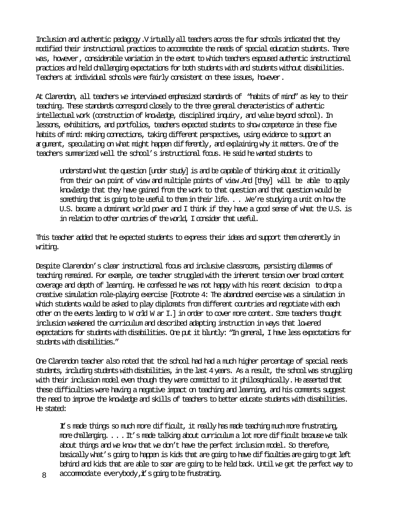Inclusion and authentic pedagogy.Virtually all teachers across the four schools indicated that they modified their instructional practices to accommodate the needs of special education students. There was, however, considerable variation in the extent to which teachers espoused authentic instructional practices and held challenging expectations for both students with and students without disabilities. Teachers at individual schools were fairly consistent on these issues, however.

At Clarendon, all teachers we interviewed emphasized standards of "habits of mind" as key to their teaching. These standards correspond closely to the three general cheracteristics of authentic intellectual work (construction of knowledge, disciplined inquiry, and value beyond school). In lessons, exhibitions, and portfolios, teachers expected students to show competence in these five habits of mind: making connections, taking different perspectives, using evidence to support an argument, speculating on what might happen differently, and explaining why it matters. One of the teachers summarized well the school's instructional focus. He said he wanted students to

understand what the question [under study] is and be capable of thinking about it critically from their own point of view and multiple points of view. And [they] will be able to apply knowledge that they have gained from the work to that question and that question would be something that is going to be useful to them in their life. . . .We're studying a unit on how the U.S. became a dominant world power and I think if they have a good sense of what the U.S. is in relation to other countries of the world, I consider that useful.

This teacher added that he expected students to express their ideas and support them coherently in writing.

Despite Clarendon's clear instructional focus and inclusive classrooms, persisting dilemmas of teaching remained. For example, one teacher struggled with the inherent tension over broad content coverage and depth of learning. He confessed he was not happy with his recent decision to drop a creative simulation role-playing exercise [Footnote 4: The abandoned exercise was a simulation in which students would be asked to play diplomats from different countries and negotiate with each other on the events leading to W orld W ar I.] in order to cover more content. Some teachers thought inclusion weakened the curriculum and described adapting instruction in ways that lowered expectations for students with disabilities. One put it bluntly: "In general, I have less expectations for students with disabilities."

One Clarendon teacher also noted that the school had had a much higher percentage of special needs students, including students with disabilities, in the last 4 years. As a result, the school was struggling with their inclusion model even though they were committed to it philosophically. He asserted that these difficulties were having a negative impact on teaching and learning, and his comments suggest the need to improve the knowledge and skills of teachers to better educate students with disabilities. He stated:

It's made things so much more difficult, it really has made teaching much more frustrating, more challenging. . . . It's made talking about curriculum a lot more difficult because we talk about things and we know that we don't have the perfect inclusion model. So therefore, basically what's going to happen is kids that are going to have difficulties are going to get left behind and kids that are able to soar are going to be held back. Until we get the perfect way to

8 accommodate everybody,  $\ddot{t}$  s going to be frustrating.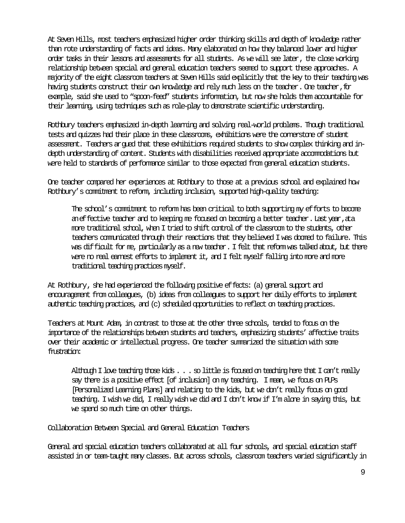At Seven Hills, most teachers emphasized higher order thinking skills and depth of knowledge rather than rote understanding of facts and ideas. Many elaborated on how they balanced lower and higher order tasks in their lessons and assessments for all students. As we will see later, the close working relationship between special and general education teachers seemed to support these approaches. A majority of the eight classroom teachers at Seven Hills said explicitly that the key to their teaching was having students construct their own knowledge and rely much less on the teacher. One teacher, for example, said she used to "spoon-feed" students information, but now she holds them accountable for their learning, using techniques such as role-play to demonstrate scientific understanding.

Rothbury teachers emphasized in-depth learning and solving real-world problems. Though traditional tests and quizzes had their place in these classrooms, exhibitions were the cornerstone of student assessment. Teachers argued that these exhibitions required students to show complex thinking and indepth understanding of content. Students with disabilities received appropriate accommodations but were held to standards of performance similar to those expected from general education students.

One teacher compared her experiences at Rothbury to those at a previous school and explained how Rothbury's commitment to reform, including inclusion, supported high-quality teaching:

The school's commitment to reform has been critical to both supporting my efforts to become aneffective teacher and to keeping me focused on becoming a better teacher. Last year, ata more traditional school, when I tried to shift control of the classroom to the students, other teachers communicated through their reactions that they believed I was doomed to failure. This was difficult for me, particularly as a new teacher. I felt that reform was talked about, but there were no real earnest efforts to implement it, and I felt myself falling into more and more traditional teaching practices myself.

At Rothbury, she had experienced the following positive effects: (a) general support and encouragement from colleagues, (b) ideas from colleagues to support her daily efforts to implement authentic teaching practices, and (c) scheduled opportunities to reflect on teaching practices.

Teachers at Mount Adam, in contrast to those at the other three schools, tended to focus on the importance of the relationships between students and teachers, emphasizing students' affective traits over their academic or intellectual progress. One teacher summarized the situation with some frustration:

Although I love teaching those kids . . . so little is focused on teaching here that I can't really say there is a positive effect [of inclusion] on my teaching. I mean, we focus on PLPs [Personalized Learning Plans] and relating to the kids, but we don't really focus on good teaching. I wish we did, I really wish we did and I don't know if I'm alone in saying this, but we spend so much time on other things.

Collaboration Between Special and General Education Teachers

General and special education teachers collaborated at all four schools, and special education staff assisted in or team-taught many classes. But across schools, classroom teachers varied significantly in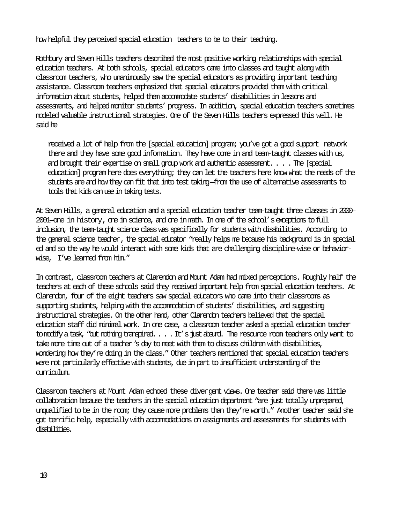how helpful they perceived special education teachers to be to their teaching.

Rothbury and Seven Hills teachers described the most positive working relationships with special education teachers. At both schools, special educators came into classes and taught along with classroom teachers, who unanimously saw the special educators as providing important teaching assistance. Classroom teachers emphasized that special educators provided them with critical information about students, helped them accommodate students' disabilities in lessons and assessments, and helped monitor students' progress. In addition, special education teachers sometimes modeled valuable instructional strategies. One of the Seven Hills teachers expressed this well. He said he

received a lot of help from the [special education] program; you've got a good support network there and they have some good information. They have come in and team-taught classes with us, and brought their expertise on small group work and authentic assessment. . . . The [special education] program here does everything; they can let the teachers here know what the needs of the students are and how they can fit that into test taking—from the use of alternative assessments to tools that kids can use in taking tests.

At Seven Hills, a general education and a special education teacher team-taught three classes in 2000– 2001—one in history, one in science, and one in math. In one of the school's exceptions to full inclusion, the team-taught science class was specifically for students with disabilities. According to the general science teacher, the special educator "really helps me because his background is in special ed and so the way he would interact with some kids that are challenging discipline-wise or behaviorwise, I've learned from him."

In contrast, classroom teachers at Clarendon and Mount Adam had mixed perceptions. Roughly half the teachers at each of these schools said they received important help from special education teachers. At Clarendon, four of the eight teachers saw special educators who came into their classrooms as supporting students, helping with the accommodation of students' disabilities, and suggesting instructional strategies. On the other hand, other Clarendon teachers believed that the special education staff did minimal work. In one case, a classroom teacher asked a special education teacher to modify a task, "but nothing transpired. . . . It's just absurd. The resource room teachers only want to take more time out of a teacher's day to meet with them to discuss children with disabilities, wondering how they're doing in the class." Other teachers mentioned that special education teachers were not particularly effective with students, due in part to insufficient understanding of the curriculum.

Classroom teachers at Mount Adam echoed these divergent views. One teacher said there was little collaboration because the teachers in the special education department "are just totally unprepared, unqualified to be in the room; they cause more problems than they're worth." Another teacher said she got terrific help, especially with accommodations on assignments and assessments for students with disabilities.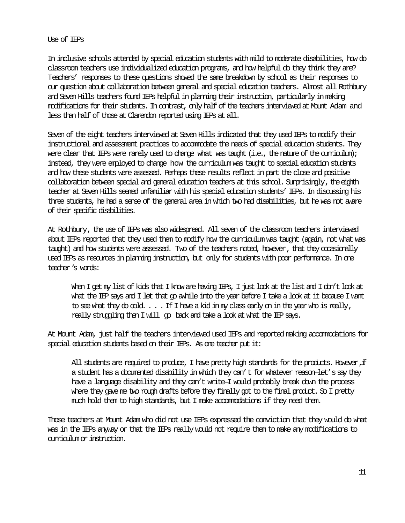### Use of IEPs

In inclusive schools attended by special education students with mild to moderate disabilities, how do classroom teachers use individualized education programs, and how helpful do they think they are? Teachers' responses to these questions showed the same breakdown by school as their responses to our question about collaboration between general and special education teachers. Almost all Rothbury and Seven Hills teachers found IEPs helpful in planning their instruction, particularly in making modifications for their students. In contrast, only half of the teachers interviewed at Mount Adam and less than half of those at Clarendon reported using IEPs at all.

Seven of the eight teachers interviewed at Seven Hills indicated that they used IEPs to modify their instructional and assessment practices to accommodate the needs of special education students. They were clear that IEPs were rarely used to change what was taught (i.e., the nature of the curriculum); instead, they were employed to change how the curriculum was taught to special education students and how these students were assessed. Perhaps these results reflect in part the close and positive collaboration between special and general education teachers at this school. Surprisingly, the eighth teacher at Seven Hills seemed unfamiliar with his special education students' IEPs. In discussing his three students, he had a sense of the general area in which two had disabilities, but he was not aware of their specific disabilities.

At Rothbury, the use of IEPs was also widespread. All seven of the classroom teachers interviewed about IEPs reported that they used them to modify how the curriculum was taught (again, not what was taught) and how students were assessed. Two of the teachers noted, however, that they occasionally used IEPs as resources in planning instruction, but only for students with poor performance. In one teacher's words:

When I get my list of kids that I know are having IEPs, I just look at the list and I don't look at what the IEP says and I let that go awhile into the year before I take a look at it because I want to see what they do cold.  $\dots$  . If I have a kid in my class early on in the year who is really, really struggling then I will go back and take a look at what the IEP says.

At Mount Adam, just half the teachers interviewed used IEPs and reported making accommodations for special education students based on their IEPs. As one teacher put it:

All students are required to produce, I have pretty high standards for the products. However, if a student has a documented disability in which they can't for whatever reason—let's say they have a language disability and they can't write—I would probably break down the process where they gave me two rough drafts before they finally got to the final product. So I pretty much hold them to high standards, but I make accommodations if they need them.

Those teachers at Mount Adam who did not use IEPs expressed the conviction that they would do what was in the IEPs anyway or that the IEPs really would not require them to make any modifications to curriculum or instruction.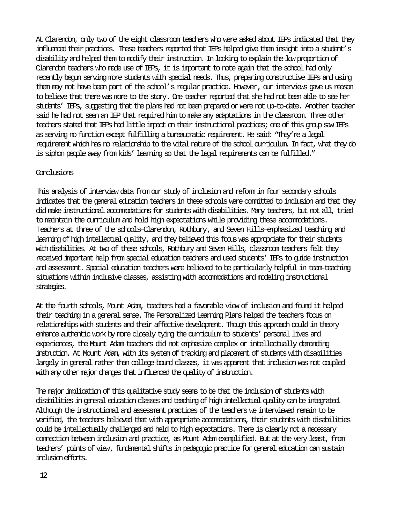At Clarendon, only two of the eight classroom teachers who were asked about IEPs indicated that they influenced their practices. These teachers reported that IEPs helped give them insight into a student's disability and helped them to modify their instruction. In looking to explain the low proportion of Clarendon teachers who made use of IEPs, it is important to note again that the school had only recently begun serving more students with special needs. Thus, preparing constructive IEPs and using them may not have been part of the school's regular practice. However, our interviews gave us reason to believe that there was more to the story. One teacher reported that she had not been able to see her students' IEPs, suggesting that the plans had not been prepared or were not up-to-date. Another teacher said he had not seen an IEP that required him to make any adaptations in the classroom. Three other teachers stated that IEPs had little impact on their instructional practices; one of this group saw IEPs as serving no function except fulfilling a bureaucratic requirement. He said: "They're a legal requirement which has no relationship to the vital nature of the school curriculum. In fact, what they do is siphon people away from kids' learning so that the legal requirements can be fulfilled."

## Conclusions

This analysis of interview data from our study of inclusion and reform in four secondary schools indicates that the general education teachers in these schools were committed to inclusion and that they did make instructional accommodations for students with disabilities. Many teachers, but not all, tried to maintain the curriculum and hold high expectations while providing these accommodations. Teachers at three of the schools—Clarendon, Rothbury, and Seven Hills—emphasized teaching and learning of high intellectual quality, and they believed this focus was appropriate for their students withdisabilities. At two of these schools, Rothbury and Seven Hills, classroom teachers felt they received important help from special education teachers and used students' IEPs to guide instruction and assessment. Special education teachers were believed to be particularly helpful in team-teaching situations within inclusive classes, assisting with accommodations and modeling instructional strategies.

At the fourth schools, Mount Adam, teachers had a favorable view of inclusion and found it helped their teaching in a general sense. The Personalized Learning Plans helped the teachers focus on relationships with students and their affective development. Though this approach could in theory enhance authentic work by more closely tying the curriculum to students' personal lives and experiences, the Mount Adam teachers did not emphasize complex or intellectually demanding instruction. At Mount Adam, with its system of tracking and placement of students with disabilities largely in general rather than college-bound classes, it was apparent that inclusion was not coupled with any other major changes that influenced the quality of instruction.

The major implication of this qualitative study seems to be that the inclusion of students with disabilities in general education classes and teaching of high intellectual quality can be integrated. Although the instructional and assessment practices of the teachers we interviewed remain to be verified, the teachers believed that with appropriate accommodations, their students with disabilities could be intellectually challenged and held to high expectations. There is clearly not a necessary connection between inclusion and practice, as Mount Adam exemplified. But at the very least, from teachers' points of view, fundamental shifts in pedagogic practice for general education can sustain inclusion efforts.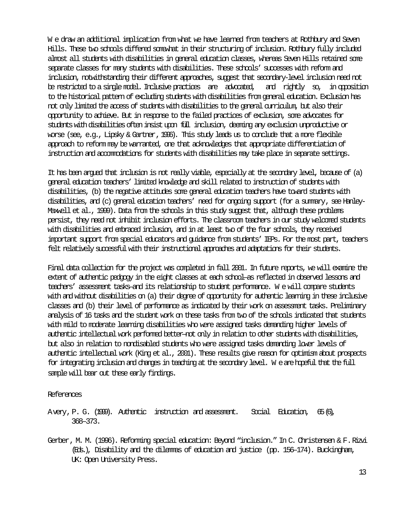W e draw an additional implication from what we have learned from teachers at Rothbury and Seven Hills. These two schools differed somewhat in their structuring of inclusion. Rothbury fully included almost all students with disabilities in general education classes, whereas Seven Hills retained some separate classes for many students with disabilities. These schools' successes with reform and inclusion, notwithstanding their different approaches, suggest that secondary-level inclusion need not be restricted to a single model. Inclusive practices are advocated, and rightly so, in opposition to the historical pattern of excluding students with disabilities from general education. Exclusion has not only limited the access of students with disabilities to the general curriculum, but also their opportunity to achieve. But in response to the failed practices of exclusion, some advocates for students with disabilities often insist upon full inclusion, deeming any exclusion unproductive or worse (see, e.g., Lipsky & Gartner,1996). This study leads us to conclude that a more flexible approach to reform may be warranted, one that acknowledges that appropriate differentiation of instruction and accommodations for students with disabilities may take place in separate settings.

It has been argued that inclusion is not really viable, especially at the secondary level, because of (a) general education teachers' limited knowledge and skill related to instruction of students with disabilities, (b) the negative attitudes some general education teachers have toward students with disabilities, and (c) general education teachers' need for ongoing support (for a summary, see Hanley-Maxwell et al., 1999). Data from the schools in this study suggest that, although these problems persist, they need not inhibit inclusion efforts. The classroom teachers in our study welcomed students with disabilities and embraced inclusion, and in at least two of the four schools, they received important support from special educators and guidance from students' IEPs. For the most part, teachers felt relatively successful with their instructional approaches and adaptations for their students.

Final data collection for the project was completed in fall 2001. In future reports, we will examine the extent of authentic pedgogy in the eight classes at each school—as reflected in observed lessons and teachers' assessment tasks—and its relationship to student performance. We will compare students with and without disabilities on (a) their degree of opportunity for authentic learning in these inclusive classes and (b) their level of performance as indicated by their work on assessment tasks. Preliminary analysis of 16 tasks and the student work on these tasks from two of the schools indicated that students with mild to moderate learning disabilities who were assigned tasks demanding higher levels of authentic intellectual work performed better—not only in relation to other students with disabilities, but also in relation to nondisabled students who were assigned tasks demanding lower levels of authentic intellectual work (King et al., 2001). These results give reason for optimism about prospects for integrating inclusion and changes in teaching at the secondary level. W e are hopeful that the full sample will bear out these early findings.

#### References

Avery,P. G. (1999). Authentic instruction and assessment. Social Education, 65(6), 368–373.

Gerber, M. M. (1996). Reforming special education: Beyond "inclusion." In C. Christensen & F.Rizvi (Eds.), Disability and the dilemmas of education and justice (pp. 156–174). Buckingham, UK: Open University Press.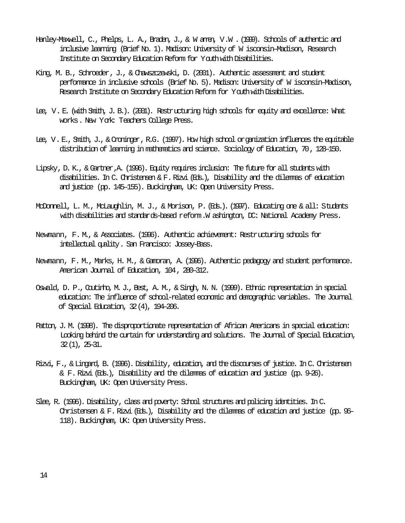- Hanley-Maxwell, C., Phelps, L. A., Braden, J., & W anen, V.W. (1999). Schools of authentic and inclusive learning (Brief No. 1). Madison: University of W isconsin–Madison, Research Institute on Secondary Education Reform for Youth with Disabilities.
- King, M. B., Schroeder, J., & Chawszczewski, D. (2001). Authentic assessment and student performance in inclusive schools (Brief No. 5). Madison: University of W isconsin–Madison, Research Institute on Secondary Education Reform for Youth with Disabilities.
- Lee, V. E. (with Smith, J. B.). (2001). Restructuring high schools for equity and excellence: What works. New York: Teachers College Press.
- Lee, V. E., Smith, J., & Croninger, R.G. (1997). How high school organization influences the equitable distribution of learning in mathematics and science. Sociology of Education, 70, 128–150.
- Lipsky, D. K., & Gartner, A. (1996). Equity requires inclusion: The future for all students with disabilities. In C. Christensen & F. Rizvi (Eds.), Disability and the dilemmas of education and justice (pp. 145–155). Buckingham, UK: Open University Press.
- McDonnell, L. M., McLaughlin, M. J., & Morison, P. (Eds.). (1997). Educating one & all: Students with disabilities and standards-based reform. W ashington, DC: National Academy Press.
- Newmann, F. M., & Associates. (1996). Authentic achievement: Restructuring schools for intellectual quality. San Francisco: Jossey-Bass.
- Newmann, F. M., Marks, H. M., & Gamoran, A. (1996). Authentic pedagogy and student performance. American Journal of Education, 104, 280–312.
- Oswald, D. P., Coutinho, M. J., Best, A. M., & Singh, N. N. (1999). Ethnic representation in special education: The influence of school-related economic and demographic variables. The Journal of Special Education, 32(4), 194–206.
- Patton, J. M. (1998). The disproportionate representation of African Americans in special education: Looking behind the curtain for understanding and solutions. The Journal of Special Education, 32(1), 25–31.
- Rizvi, F., & Lingard, B. (1996). Disability, education, and the discourses of justice. In C. Christensen & F. Rizvi (Eds.), Disability and the dilemmas of education and justice (pp. 9–26). Buckingham, UK: Open University Press.
- Slee, R. (1996). Disability, class and poverty: School structures and policing identities. In C. Christensen & F. Rizvi (Eds.), Disability and the dilemmas of education and justice (pp. 96– 118). Buckingham, UK: Open University Press.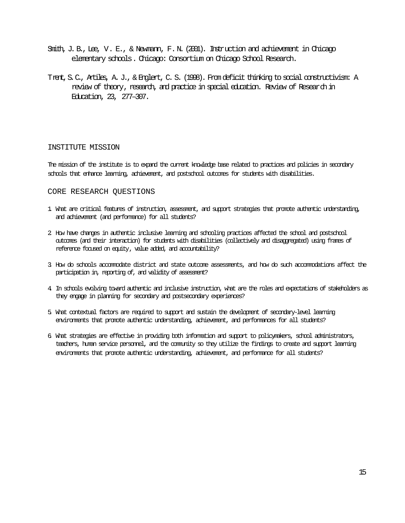- Smith, J. B., Lee, V. E., & Newmann, F. N. (2001). Instruction and achievement in Chicago elementary schools. Chicago: Consortium on Chicago School Research.
- Trent,S.C., Artiles, A. J., & Englert, C. S. (1998). From deficit thinking to social constructivism: A review of theory, research, and practice in special education. Review of Researchin Education, 23, 277–307.

#### INSTITUTE MISSION

The mission of the institute is to expand the current knowledge base related to practices and policies in secondary schools that enhance learning, achievement, and postschool outcomes for students with disabilities.

#### CORE RESEARCH QUESTIONS

- 1. What are critical features of instruction, assessment, and support strategies that promote authentic understanding, and achievement (and performance) for all students?
- 2. How have changes in authentic inclusive learning and schooling practices affected the school and postschool outcomes (and their interaction) for students with disabilities (collectively and disaggregated) using frames of reference focused on equity, value added, and accountability?
- 3. How do schools accommodate district and state outcome assessments, and how do such accommodations affect the participation in, reporting of, and validity of assessment?
- 4. In schools evolving toward authentic and inclusive instruction, what are the roles and expectations of stakeholders as they engage in planning for secondary and postsecondary experiences?
- 5. What contextual factors are required to support and sustain the development of secondary-level learning environments that promote authentic understanding, achievement, and performances for all students?
- 6. What strategies are effective in providing both information and support to policymakers, school administrators, teachers, human service personnel, and the community so they utilize the findings to create and support learning environments that promote authentic understanding, achievement, and performance for all students?